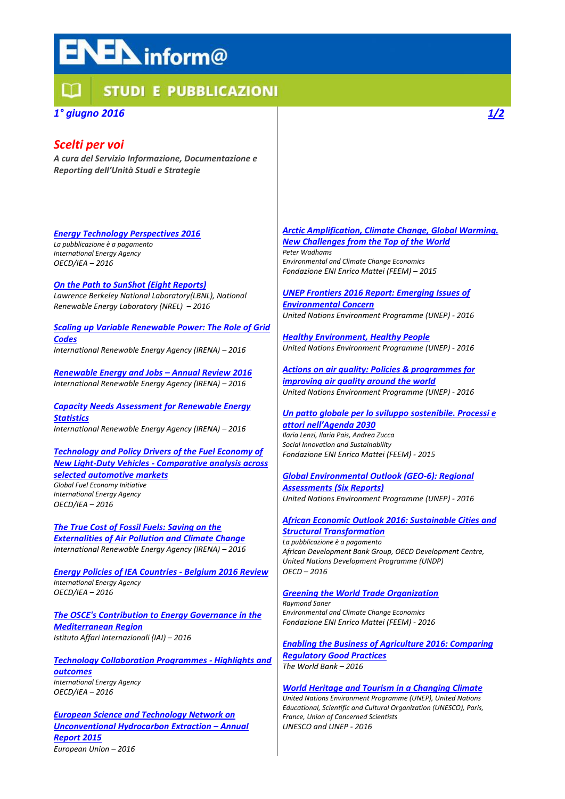# **EN** inform@

# **STUDI E PUBBLICAZIONI**

## *1° giugno 2016*

## *Scelti per voi*

*A cura del Servizio Informazione, Documentazione e Reporting dell'Unità Studi e Strategie*

#### *Energy Technology [Perspectives](http://www.iea.org/bookshop/719-Energy_Technology_Perspectives_2016) 2016 La pubblicazione è a pagamento*

*International Energy Agency OECD/IEA – 2016*

*On the Path to SunShot (Eight [Reports\)](http://energy.gov/eere/sunshot/path-sunshot) Lawrence Berkeley National Laboratory(LBNL), National Renewable Energy Laboratory (NREL) – 2016*

*Scaling up Variable [Renewable](http://www.irena.org/menu/index.aspx?mnu=Subcat&PriMenuID=36&CatID=141&SubcatID=1723) Power: The Role of Grid [Codes](http://www.irena.org/menu/index.aspx?mnu=Subcat&PriMenuID=36&CatID=141&SubcatID=1723)*

*International Renewable Energy Agency (IRENA) – 2016*

*[Renewable](http://www.irena.org/menu/index.aspx?mnu=Subcat&PriMenuID=36&CatID=141&SubcatID=2729) Energy and Jobs – Annual Review 2016 International Renewable Energy Agency (IRENA) – 2016*

*Capacity Needs [Assessment](http://www.irena.org/menu/index.aspx?mnu=Subcat&PriMenuID=36&CatID=141&SubcatID=2728) for Renewable Energy [Statistics](http://www.irena.org/menu/index.aspx?mnu=Subcat&PriMenuID=36&CatID=141&SubcatID=2728) International Renewable Energy Agency (IRENA) – 2016*

*[Technology](http://www.globalfueleconomy.org/data-and-research/publications/gfei-working-paper-12) and Policy Drivers of the Fuel Economy of New Light-Duty Vehicles - [Comparative](http://www.globalfueleconomy.org/data-and-research/publications/gfei-working-paper-12) analysis across selected [automotive](http://www.globalfueleconomy.org/data-and-research/publications/gfei-working-paper-12) markets*

*Global Fuel Economy Initiative International Energy Agency OECD/IEA – 2016*

*The True Cost of Fossil Fuels: [Saving](http://www.irena.org/menu/index.aspx?mnu=Subcat&PriMenuID=36&CatID=141&SubcatID=2726) on the [Externalities](http://www.irena.org/menu/index.aspx?mnu=Subcat&PriMenuID=36&CatID=141&SubcatID=2726) of Air Pollution and Climate Change International Renewable Energy Agency (IRENA) – 2016*

*Energy Policies of IEA [Countries](http://www.iea.org/publications/freepublications/publication/energy-policies-of-iea-countries---belgium-2016-review-.html) - Belgium 2016 Review International Energy Agency OECD/IEA – 2016*

*The OSCE's [Contribution](http://www.iai.it/it/pubblicazioni/osces-contribution-energy-governance-mediterranean-region) to Energy Governance in the [Mediterranean](http://www.iai.it/it/pubblicazioni/osces-contribution-energy-governance-mediterranean-region) Region Istituto Affari Internazionali (IAI) – 2016*

*Technology [Collaboration](http://www.iea.org/publications/freepublications/publication/technology-collaboration-programmes.html) Programmes - Highlights and [outcomes](http://www.iea.org/publications/freepublications/publication/technology-collaboration-programmes.html) International Energy Agency OECD/IEA – 2016*

*European Science and [Technology](http://bookshop.europa.eu/en/european-science-and-technology-network-on-unconventional-pbLDAC16001/) Network on [Unconventional](http://bookshop.europa.eu/en/european-science-and-technology-network-on-unconventional-pbLDAC16001/) Hydrocarbon Extraction – Annual [Report](http://bookshop.europa.eu/en/european-science-and-technology-network-on-unconventional-pbLDAC16001/) 2015 European Union – 2016*

### *Arctic [Amplification,](http://www.feem.it/getpage.aspx?id=8110) Climate Change, Global Warming.*

*New [Challenges](http://www.feem.it/getpage.aspx?id=8110) from the Top of the World Peter Wadhams Environmental and Climate Change Economics Fondazione ENI Enrico Mattei (FEEM) – 2015*

*UNEP Frontiers 2016 Report: [Emerging](http://web.unep.org/frontiers/) Issues of [Environmental](http://web.unep.org/frontiers/) Concern United Nations Environment Programme (UNEP) - 2016*

*Healthy [Environment,](http://www.unep.org/stories/ecosystems/Healthy-Environment-Healthy-People.asp) Healthy People United Nations Environment Programme (UNEP) - 2016*

*Actions on air quality: Policies & [programmes](http://www.unep.org/publications/) for [improving](http://www.unep.org/publications/) air quality around the world United Nations Environment Programme (UNEP) - 2016*

*Un patto globale per lo sviluppo [sostenibile.](http://www.feem.it/getpage.aspx?id=7888) Processi e attori [nell'Agenda](http://www.feem.it/getpage.aspx?id=7888) 2030 Ilaria Lenzi, Ilaria Pais, Andrea Zucca Social Innovation and Sustainability Fondazione ENI Enrico Mattei (FEEM) - 2015*

## *Global [Environmental](http://www.unep.org/geo/) Outlook (GEO-6): Regional [Assessments](http://www.unep.org/geo/) (Six Reports)*

*United Nations Environment Programme (UNEP) - 2016*

#### *African Economic Outlook 2016: [Sustainable](http://www.oecd.org/dev/african-economic-outlook-19991029.htm) Cities and Structural [Transformation](http://www.oecd.org/dev/african-economic-outlook-19991029.htm)*

*La pubblicazione è a pagamento African Development Bank Group, OECD Development Centre, United Nations Development Programme (UNDP) OECD – 2016*

#### *Greening the World Trade [Organization](http://feempress.feem.it/getpage.aspx?id=8350) Raymond Saner Environmental and Climate Change Economics Fondazione ENI Enrico Mattei (FEEM) - 2016*

*Enabling the Business of [Agriculture](https://openknowledge.worldbank.org/handle/10986/23691) 2016: Comparing [Regulatory](https://openknowledge.worldbank.org/handle/10986/23691) Good Practices The World Bank – 2016*

### *World Heritage and Tourism in a [Changing](http://whc.unesco.org/en/activities/883/) Climate*

*United Nations Environment Programme (UNEP), United Nations Educational, Scientific and Cultural Organization (UNESCO), Paris, France, Union of Concerned Scientists UNESCO and UNEP - 2016*